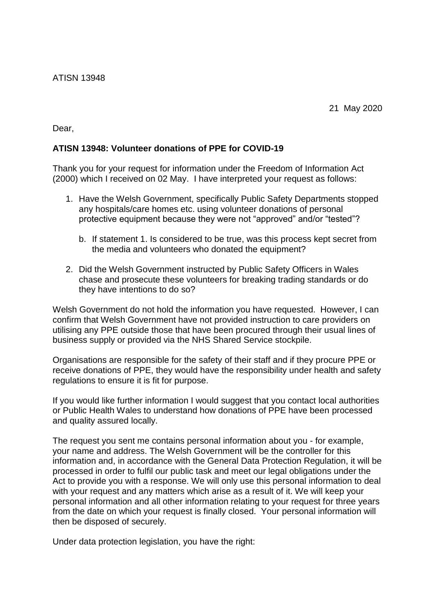Dear,

## **ATISN 13948: Volunteer donations of PPE for COVID-19**

Thank you for your request for information under the Freedom of Information Act (2000) which I received on 02 May. I have interpreted your request as follows:

- 1. Have the Welsh Government, specifically Public Safety Departments stopped any hospitals/care homes etc. using volunteer donations of personal protective equipment because they were not "approved" and/or "tested"?
	- b. If statement 1. Is considered to be true, was this process kept secret from the media and volunteers who donated the equipment?
- 2. Did the Welsh Government instructed by Public Safety Officers in Wales chase and prosecute these volunteers for breaking trading standards or do they have intentions to do so?

Welsh Government do not hold the information you have requested. However, I can confirm that Welsh Government have not provided instruction to care providers on utilising any PPE outside those that have been procured through their usual lines of business supply or provided via the NHS Shared Service stockpile.

Organisations are responsible for the safety of their staff and if they procure PPE or receive donations of PPE, they would have the responsibility under health and safety regulations to ensure it is fit for purpose.

If you would like further information I would suggest that you contact local authorities or Public Health Wales to understand how donations of PPE have been processed and quality assured locally.

The request you sent me contains personal information about you - for example, your name and address. The Welsh Government will be the controller for this information and, in accordance with the General Data Protection Regulation, it will be processed in order to fulfil our public task and meet our legal obligations under the Act to provide you with a response. We will only use this personal information to deal with your request and any matters which arise as a result of it. We will keep your personal information and all other information relating to your request for three years from the date on which your request is finally closed. Your personal information will then be disposed of securely.

Under data protection legislation, you have the right: